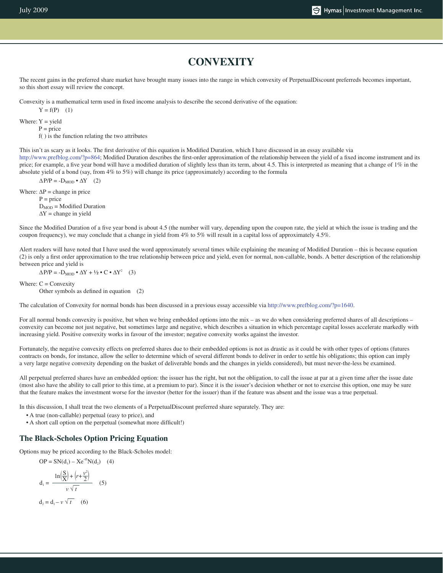## **CONVEXITY**

The recent gains in the preferred share market have brought many issues into the range in which convexity of PerpetualDiscount preferreds becomes important, so this short essay will review the concept.

Convexity is a mathematical term used in fixed income analysis to describe the second derivative of the equation:

 $Y = f(P)$  (1)

Where:  $Y = yield$ 

 $P = price$ 

f( ) is the function relating the two attributes

This isn't as scary as it looks. The first derivative of this equation is Modified Duration, which I have discussed in an essay available via http://www.prefblog.com/?p=864; Modified Duration describes the first-order approximation of the relationship between the yield of a fixed income instrument and its price; for example, a five year bond will have a modified duration of slightly less than its term, about 4.5. This is interpreted as meaning that a change of  $1\%$  in the absolute yield of a bond (say, from 4% to 5%) will change its price (approximately) according to the formula

 $\Delta P/P = -D_{\text{MOD}} \cdot \Delta Y$  (2)

Where:  $\Delta P$  = change in price  $P = price$  $D_{MOD}$  = Modified Duration  $\Delta Y$  = change in yield

Since the Modified Duration of a five year bond is about 4.5 (the number will vary, depending upon the coupon rate, the yield at which the issue is trading and the coupon frequency), we may conclude that a change in yield from 4% to 5% will result in a capital loss of approximately 4.5%.

Alert readers will have noted that I have used the word approximately several times while explaining the meaning of Modified Duration – this is because equation (2) is only a first order approximation to the true relationship between price and yield, even for normal, non-callable, bonds. A better description of the relationship between price and yield is

 $\Delta P/P = -D_{\text{MOD}} \cdot \Delta Y + \frac{1}{2} \cdot C \cdot \Delta Y^2$  (3)

Where:  $C = Convexity$ Other symbols as defined in equation (2)

The calculation of Convexity for normal bonds has been discussed in a previous essay accessible via http://www.prefblog.com/?p=1640.

For all normal bonds convexity is positive, but when we bring embedded options into the mix – as we do when considering preferred shares of all descriptions – convexity can become not just negative, but sometimes large and negative, which describes a situation in which percentage capital losses accelerate markedly with increasing yield. Positive convexity works in favour of the investor; negative convexity works against the investor.

Fortunately, the negative convexity effects on preferred shares due to their embedded options is not as drastic as it could be with other types of options (futures contracts on bonds, for instance, allow the seller to determine which of several different bonds to deliver in order to settle his obligations; this option can imply a very large negative convexity depending on the basket of deliverable bonds and the changes in yields considered), but must never-the-less be examined.

All perpetual preferred shares have an embedded option: the issuer has the right, but not the obligation, to call the issue at par at a given time after the issue date (most also have the ability to call prior to this time, at a premium to par). Since it is the issuer's decision whether or not to exercise this option, one may be sure that the feature makes the investment worse for the investor (better for the issuer) than if the feature was absent and the issue was a true perpetual.

In this discussion, I shall treat the two elements of a PerpetualDiscount preferred share separately. They are:

• A true (non-callable) perpetual (easy to price), and

• A short call option on the perpetual (somewhat more difficult!)

#### **The Black-Scholes Option Pricing Equation**

Options may be priced according to the Black-Scholes model:

$$
OP = SN(d_1) - Xe^{-rt}N(d_2) \quad (4)
$$

$$
d_1 = \frac{\ln\left(\frac{S}{X}\right) + \left(r + \frac{v^2}{2}\right)}{v\sqrt{t}} \quad (5)
$$
  

$$
d_2 = d_1 - v\sqrt{t} \quad (6)
$$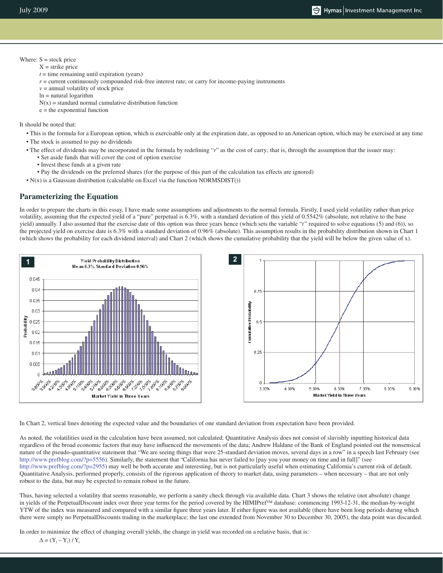#### Where:  $S =$  stock price  $X =$ strike price

- $t =$  time remaining until expiration (years)
- $r =$  current continuously compounded risk-free interest rate; or carry for income-paying instruments
- $v =$  annual volatility of stock price
- ln = natural logarithm
- $N(x)$  = standard normal cumulative distribution function
- e = the exponential function

It should be noted that:

- This is the formula for a European option, which is exercisable only at the expiration date, as opposed to an American option, which may be exercised at any time
- The stock is assumed to pay no dividends
- The effect of dividends may be incorporated in the formula by redefining "*r*" as the cost of carry; that is, through the assumption that the issuer may:
	- Set aside funds that will cover the cost of option exercise
	- Invest these funds at a given rate
	- Pay the dividends on the preferred shares (for the purpose of this part of the calculation tax effects are ignored)
- N(x) is a Gaussian distribution (calculable on Excel via the function NORMSDIST())

### **Parameterizing the Equation**

In order to prepare the charts in this essay, I have made some assumptions and adjustments to the normal formula. Firstly, I used yield volatility rather than price volatility, assuming that the expected yield of a "pure" perpetual is 6.3%, with a standard deviation of this yield of 0.5542% (absolute, not relative to the base yield) annually. I also assumed that the exercise date of this option was three years hence (which sets the variable "*t*" required to solve equations (5) and (6)), so the projected yield on exercise date is 6.3% with a standard deviation of 0.96% (absolute). This assumption results in the probability distribution shown in Chart 1 (which shows the probability for each dividend interval) and Chart 2 (which shows the cumulative probability that the yield will be below the given value of x).



In Chart 2, vertical lines denoting the expected value and the boundaries of one standard deviation from expectation have been provided.

As noted, the volatilities used in the calculation have been assumed, not calculated. Quantitative Analysis does not consist of slavishly inputting historical data regardless of the broad economic factors that may have influenced the movements of the data; Andrew Haldane of the Bank of England pointed out the nonsensical nature of the pseudo-quantitative statement that "We are seeing things that were 25-standard deviation moves, several days in a row" in a speech last February (see http://www.prefblog.com/?p=5556). Similarly, the statement that "California has never failed to [pay you your money on time and in full]" (see http://www.prefblog.com/?p=2955) may well be both accurate and interesting, but is not particularly useful when estimating California's current risk of default. Quantitative Analysis, performed properly, consists of the rigorous application of theory to market data, using parameters – when necessary – that are not only robust to the data, but may be expected to remain robust in the future.

Thus, having selected a volatility that seems reasonable, we perform a sanity check through via available data. Chart 3 shows the relative (not absolute) change in yields of the PerpetualDiscount index over three year terms for the period covered by the HIMIPref™ database: commencing 1993-12-31, the median-by-weight YTW of the index was measured and compared with a similar figure three years later. If either figure was not available (there have been long periods during which there were simply no PerpetualDiscounts trading in the marketplace; the last one extended from November 30 to December 30, 2005), the data point was discarded.

In order to minimize the effect of changing overall yields, the change in yield was recorded on a relative basis, that is:  $\Delta = (Y_2 - Y_1) / Y_1$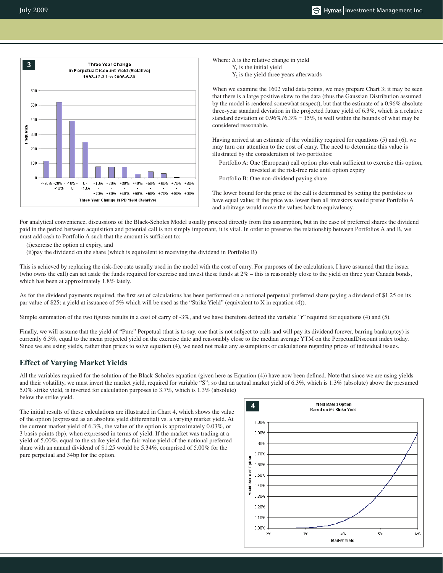

Where: ∆ is the relative change in yield  $Y_1$  is the initial yield Y<sub>2</sub> is the yield three years afterwards

When we examine the 1602 valid data points, we may prepare Chart 3; it may be seen that there is a large positive skew to the data (thus the Gaussian Distribution assumed by the model is rendered somewhat suspect), but that the estimate of a 0.96% absolute three-year standard deviation in the projected future yield of 6.3%, which is a relative standard deviation of  $0.96\%/6.3\% = 15\%$ , is well within the bounds of what may be considered reasonable.

Having arrived at an estimate of the volatility required for equations (5) and (6), we may turn our attention to the cost of carry. The need to determine this value is illustrated by the consideration of two portfolios:

Portfolio A: One (European) call option plus cash sufficient to exercise this option, invested at the risk-free rate until option expiry

Portfolio B: One non-dividend paying share

The lower bound for the price of the call is determined by setting the portfolios to have equal value; if the price was lower then all investors would prefer Portfolio A and arbitrage would move the values back to equivalency.

For analytical convenience, discussions of the Black-Scholes Model usually proceed directly from this assumption, but in the case of preferred shares the dividend paid in the period between acquisition and potential call is not simply important, it is vital. In order to preserve the relationship between Portfolios A and B, we must add cash to Portfolio A such that the amount is sufficient to:

(i)exercise the option at expiry, and

(ii)pay the dividend on the share (which is equivalent to receiving the dividend in Portfolio B)

This is achieved by replacing the risk-free rate usually used in the model with the cost of carry. For purposes of the calculations, I have assumed that the issuer (who owns the call) can set aside the funds required for exercise and invest these funds at 2% – this is reasonably close to the yield on three year Canada bonds, which has been at approximately 1.8% lately.

As for the dividend payments required, the first set of calculations has been performed on a notional perpetual preferred share paying a dividend of \$1.25 on its par value of \$25; a yield at issuance of 5% which will be used as the "Strike Yield" (equivalent to X in equation (4)).

Simple summation of the two figures results in a cost of carry of -3%, and we have therefore defined the variable "r" required for equations (4) and (5).

Finally, we will assume that the yield of "Pure" Perpetual (that is to say, one that is not subject to calls and will pay its dividend forever, barring bankruptcy) is currently 6.3%, equal to the mean projected yield on the exercise date and reasonably close to the median average YTM on the PerpetualDiscount index today. Since we are using yields, rather than prices to solve equation (4), we need not make any assumptions or calculations regarding prices of individual issues.

#### **Effect of Varying Market Yields**

All the variables required for the solution of the Black-Scholes equation (given here as Equation (4)) have now been defined. Note that since we are using yields and their volatility, we must invert the market yield, required for variable "S"; so that an actual market yield of 6.3%, which is 1.3% (absolute) above the presumed 5.0% strike yield, is inverted for calculation purposes to 3.7%, which is 1.3% (absolute) below the strike yield.

The initial results of these calculations are illustrated in Chart 4, which shows the value of the option (expressed as an absolute yield differential) vs. a varying market yield. At the current market yield of 6.3%, the value of the option is approximately 0.03%, or 3 basis points (bp), when expressed in terms of yield. If the market was trading at a yield of 5.00%, equal to the strike yield, the fair-value yield of the notional preferred share with an annual dividend of \$1.25 would be 5.34%, comprised of 5.00% for the pure perpetual and 34bp for the option.

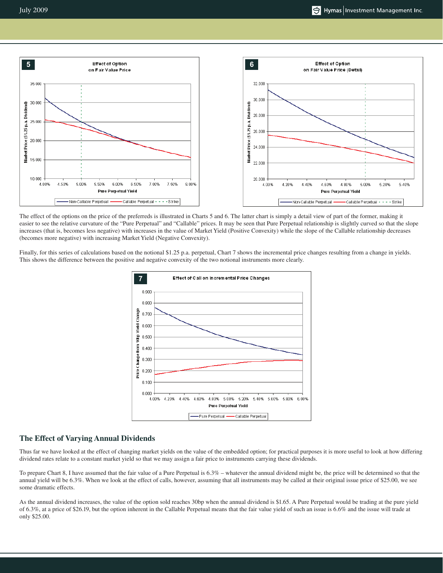July 2009



The effect of the options on the price of the preferreds is illustrated in Charts 5 and 6. The latter chart is simply a detail view of part of the former, making it easier to see the relative curvature of the "Pure Perpetual" and "Callable" prices. It may be seen that Pure Perpetual relationship is slightly curved so that the slope increases (that is, becomes less negative) with increases in the value of Market Yield (Positive Convexity) while the slope of the Callable relationship decreases (becomes more negative) with increasing Market Yield (Negative Convexity).

Finally, for this series of calculations based on the notional \$1.25 p.a. perpetual, Chart 7 shows the incremental price changes resulting from a change in yields. This shows the difference between the positive and negative convexity of the two notional instruments more clearly.



#### **The Effect of Varying Annual Dividends**

Thus far we have looked at the effect of changing market yields on the value of the embedded option; for practical purposes it is more useful to look at how differing dividend rates relate to a constant market yield so that we may assign a fair price to instruments carrying these dividends.

To prepare Chart 8, I have assumed that the fair value of a Pure Perpetual is 6.3% – whatever the annual dividend might be, the price will be determined so that the annual yield will be 6.3%. When we look at the effect of calls, however, assuming that all instruments may be called at their original issue price of \$25.00, we see some dramatic effects.

As the annual dividend increases, the value of the option sold reaches 30bp when the annual dividend is \$1.65. A Pure Perpetual would be trading at the pure yield of 6.3%, at a price of \$26.19, but the option inherent in the Callable Perpetual means that the fair value yield of such an issue is 6.6% and the issue will trade at only \$25.00.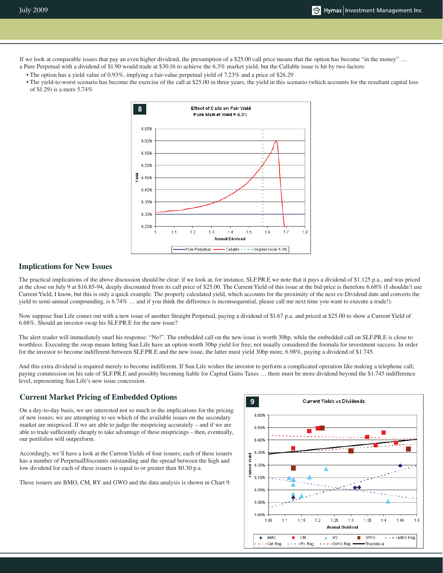If we look at comparable issues that pay an even higher dividend, the presumption of a \$25.00 call price means that the option has become "in the money" … a Pure Perpetual with a dividend of \$1.90 would trade at \$30.16 to achieve the 6.3% market yield, but the Callable issue is hit by two factors:

- The option has a yield value of 0.93%, implying a fair-value perpetual yield of 7.23% and a price of \$26.29
- The yield-to-worst scenario has become the exercise of the call at \$25.00 in three years; the yield in this scenario (which accounts for the resultant capital loss of \$1.29) is a mere 5.74%



#### **Implications for New Issues**

The practical implications of the above discussion should be clear: if we look at, for instance, SLF.PR.E we note that it pays a dividend of \$1.125 p.a., and was priced at the close on July 9 at \$16.85-94, deeply discounted from its call price of \$25.00. The Current Yield of this issue at the bid price is therefore 6.68% (I shouldn't use Current Yield, I know, but this is only a quick example. The properly calculated yield, which accounts for the proximity of the next ex-Dividend date and converts the yield to semi-annual compounding, is 6.74% … and if you think the difference is inconsequential, please call me next time you want to execute a trade!).

Now suppose Sun Life comes out with a new issue of another Straight Perpetual, paying a dividend of \$1.67 p.a. and priced at \$25.00 to show a Current Yield of 6.68%. Should an investor swap his SLF.PR.E for the new issue?

The alert reader will immediately snarl his response: "No!". The embedded call on the new issue is worth 30bp, while the embedded call on SLF.PR.E is close to worthless. Executing the swap means letting Sun Life have an option worth 30bp yield for free; not usually considered the formula for investment success. In order for the investor to become indifferent between SLF.PR.E and the new issue, the latter must yield 30bp more, 6.98%, paying a dividend of \$1.745.

And this extra dividend is required merely to become indifferent. If Sun Life wishes the investor to perform a complicated operation like making a telephone call; paying commission on his sale of SLF.PR.E and possibly becoming liable for Capital Gains Taxes … there must be more dividend beyond the \$1.745 indifference level, representing Sun Life's new issue concession.

# **<sup>9</sup> Current Market Pricing of Embedded Options**

On a day-to-day basis, we are interested not so much in the implications for the pricing of new issues; we are attempting to see which of the available issues on the secondary market are mispriced. If we are able to judge the mispricing accurately – and if we are able to trade sufficiently cheaply to take advantage of these mispricings – then, eventually, our portfolios will outperform.

Accordingly, we'll have a look at the Current Yields of four issuers; each of these issuers has a number of PerpetualDiscounts outstanding and the spread between the high and low dividend for each of these issuers is equal to or greater than \$0.30 p.a.

These issuers are BMO, CM, RY and GWO and the data analysis is shown in Chart 9.